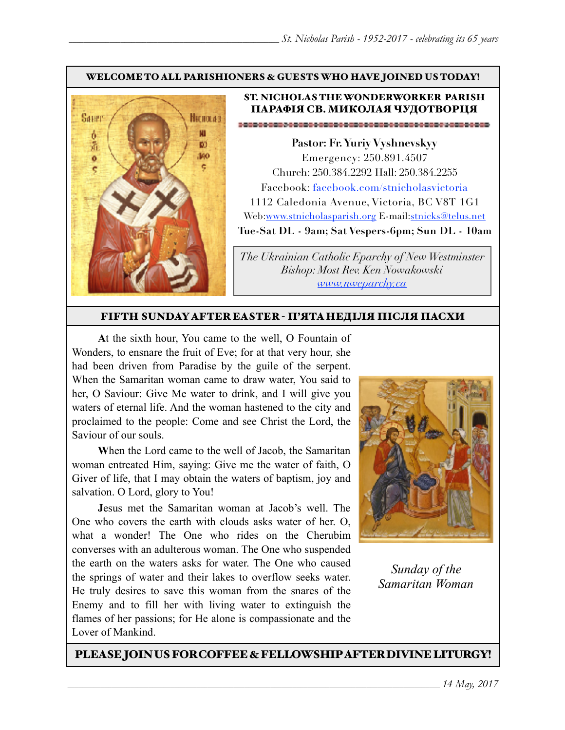#### WELCOME TO ALL PARISHIONERS & GUESTS WHO HAVE JOINED US TODAY!



## ST. NICHOLAS THE WONDERWORKER PARISH ПАРАФІЯ СВ. МИКОЛАЯ ЧУДОТВОРЦЯ

**Pastor: Fr. Yuriy Vyshnevskyy** Emergency: 250.891.4507 Church: 250.384.2292 Hall: 250.384.2255 Facebook: facebook.com/stnicholasvictoria 1112 Caledonia Avenue, Victoria, BC V8T 1G1 Web[:www.stnicholasparish.org](http://www.stnicholasparish.org) E-mail:[stnicks@telus.net](mailto:stnicks@telus.net) **Tue-Sat DL - 9am; Sat Vespers-6pm; Sun DL - 10am**

*The Ukrainian Catholic Eparchy of New Westminster Bishop: Most Rev. Ken Nowakowski [www.nweparchy.ca](http://www.nweparchy.ca)*

#### FIFTH SUNDAY AFTER EASTER - П'ЯТАНЕДІЛЯ ПІСЛЯ ПАСХИ

**A**t the sixth hour, You came to the well, O Fountain of Wonders, to ensnare the fruit of Eve; for at that very hour, she had been driven from Paradise by the guile of the serpent. When the Samaritan woman came to draw water, You said to her, O Saviour: Give Me water to drink, and I will give you waters of eternal life. And the woman hastened to the city and proclaimed to the people: Come and see Christ the Lord, the Saviour of our souls.

**W**hen the Lord came to the well of Jacob, the Samaritan woman entreated Him, saying: Give me the water of faith, O Giver of life, that I may obtain the waters of baptism, joy and salvation. O Lord, glory to You!

**J**esus met the Samaritan woman at Jacob's well. The One who covers the earth with clouds asks water of her. O, what a wonder! The One who rides on the Cherubim converses with an adulterous woman. The One who suspended the earth on the waters asks for water. The One who caused the springs of water and their lakes to overflow seeks water. He truly desires to save this woman from the snares of the Enemy and to fill her with living water to extinguish the flames of her passions; for He alone is compassionate and the Lover of Mankind.



*Sunday of the Samaritan Woman*

#### PLEASE JOIN US FOR COFFEE & FELLOWSHIP AFTER DIVINE LITURGY!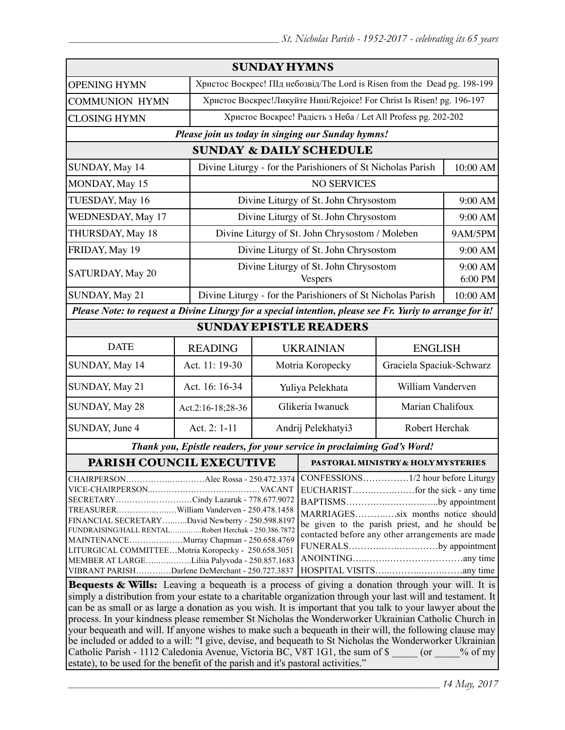|                                                                                                                                                                                                                                                                                                                                                                                                                                               |                                                                                                                                                                                                                                                                                                           | <b>SUNDAY HYMNS</b>                                                       |                                                                         |                                                               |                          |  |
|-----------------------------------------------------------------------------------------------------------------------------------------------------------------------------------------------------------------------------------------------------------------------------------------------------------------------------------------------------------------------------------------------------------------------------------------------|-----------------------------------------------------------------------------------------------------------------------------------------------------------------------------------------------------------------------------------------------------------------------------------------------------------|---------------------------------------------------------------------------|-------------------------------------------------------------------------|---------------------------------------------------------------|--------------------------|--|
| <b>OPENING HYMN</b>                                                                                                                                                                                                                                                                                                                                                                                                                           |                                                                                                                                                                                                                                                                                                           | Христос Воскрес! ПІд небозвід/The Lord is Risen from the Dead pg. 198-199 |                                                                         |                                                               |                          |  |
| <b>COMMUNION HYMN</b>                                                                                                                                                                                                                                                                                                                                                                                                                         |                                                                                                                                                                                                                                                                                                           |                                                                           | Христос Воскрес! Ликуйте Нині/Rejoice! For Christ Is Risen! pg. 196-197 |                                                               |                          |  |
| <b>CLOSING HYMN</b>                                                                                                                                                                                                                                                                                                                                                                                                                           |                                                                                                                                                                                                                                                                                                           |                                                                           |                                                                         | Христос Воскрес! Радість з Неба / Let All Profess pg. 202-202 |                          |  |
|                                                                                                                                                                                                                                                                                                                                                                                                                                               | Please join us today in singing our Sunday hymns!                                                                                                                                                                                                                                                         |                                                                           |                                                                         |                                                               |                          |  |
|                                                                                                                                                                                                                                                                                                                                                                                                                                               |                                                                                                                                                                                                                                                                                                           |                                                                           | <b>SUNDAY &amp; DAILY SCHEDULE</b>                                      |                                                               |                          |  |
| SUNDAY, May 14                                                                                                                                                                                                                                                                                                                                                                                                                                |                                                                                                                                                                                                                                                                                                           | Divine Liturgy - for the Parishioners of St Nicholas Parish               |                                                                         |                                                               | 10:00 AM                 |  |
| MONDAY, May 15                                                                                                                                                                                                                                                                                                                                                                                                                                |                                                                                                                                                                                                                                                                                                           | <b>NO SERVICES</b>                                                        |                                                                         |                                                               |                          |  |
| TUESDAY, May 16                                                                                                                                                                                                                                                                                                                                                                                                                               |                                                                                                                                                                                                                                                                                                           |                                                                           | Divine Liturgy of St. John Chrysostom                                   |                                                               |                          |  |
| WEDNESDAY, May 17                                                                                                                                                                                                                                                                                                                                                                                                                             |                                                                                                                                                                                                                                                                                                           |                                                                           | Divine Liturgy of St. John Chrysostom                                   |                                                               | 9:00 AM                  |  |
| THURSDAY, May 18                                                                                                                                                                                                                                                                                                                                                                                                                              |                                                                                                                                                                                                                                                                                                           | Divine Liturgy of St. John Chrysostom / Moleben                           |                                                                         |                                                               | 9AM/5PM                  |  |
| FRIDAY, May 19                                                                                                                                                                                                                                                                                                                                                                                                                                |                                                                                                                                                                                                                                                                                                           | Divine Liturgy of St. John Chrysostom                                     |                                                                         | 9:00 AM                                                       |                          |  |
| SATURDAY, May 20                                                                                                                                                                                                                                                                                                                                                                                                                              |                                                                                                                                                                                                                                                                                                           |                                                                           | Divine Liturgy of St. John Chrysostom<br><b>Vespers</b>                 |                                                               | 9:00 AM<br>6:00 PM       |  |
| SUNDAY, May 21                                                                                                                                                                                                                                                                                                                                                                                                                                |                                                                                                                                                                                                                                                                                                           |                                                                           | Divine Liturgy - for the Parishioners of St Nicholas Parish             |                                                               | 10:00 AM                 |  |
| Please Note: to request a Divine Liturgy for a special intention, please see Fr. Yuriy to arrange for it!                                                                                                                                                                                                                                                                                                                                     |                                                                                                                                                                                                                                                                                                           |                                                                           |                                                                         |                                                               |                          |  |
|                                                                                                                                                                                                                                                                                                                                                                                                                                               |                                                                                                                                                                                                                                                                                                           |                                                                           | <b>SUNDAY EPISTLE READERS</b>                                           |                                                               |                          |  |
| <b>DATE</b>                                                                                                                                                                                                                                                                                                                                                                                                                                   | <b>READING</b>                                                                                                                                                                                                                                                                                            |                                                                           |                                                                         | <b>UKRAINIAN</b><br><b>ENGLISH</b>                            |                          |  |
| SUNDAY, May 14                                                                                                                                                                                                                                                                                                                                                                                                                                | Act. 11: 19-30                                                                                                                                                                                                                                                                                            | Motria Koropecky                                                          |                                                                         |                                                               | Graciela Spaciuk-Schwarz |  |
| SUNDAY, May 21                                                                                                                                                                                                                                                                                                                                                                                                                                | Act. 16: 16-34                                                                                                                                                                                                                                                                                            |                                                                           | Yuliya Pelekhata                                                        | William Vanderven                                             |                          |  |
| SUNDAY, May 28                                                                                                                                                                                                                                                                                                                                                                                                                                | Act.2:16-18;28-36                                                                                                                                                                                                                                                                                         | Glikeria Iwanuck                                                          |                                                                         | Marian Chalifoux                                              |                          |  |
| SUNDAY, June 4                                                                                                                                                                                                                                                                                                                                                                                                                                | Act. 2: 1-11                                                                                                                                                                                                                                                                                              | Andrij Pelekhatyi3                                                        |                                                                         |                                                               | Robert Herchak           |  |
|                                                                                                                                                                                                                                                                                                                                                                                                                                               | Thank you, Epistle readers, for your service in proclaiming God's Word!                                                                                                                                                                                                                                   |                                                                           |                                                                         |                                                               |                          |  |
| <b>PARISH COUNCIL EXECUTIVE</b>                                                                                                                                                                                                                                                                                                                                                                                                               |                                                                                                                                                                                                                                                                                                           |                                                                           | <b>PASTORAL MINISTRY &amp; HOLY MYSTERIES</b>                           |                                                               |                          |  |
| CHAIRPERSONAlec Rossa - 250.472.3374<br>SECRETARYCindy Lazaruk - 778.677.9072<br>TREASURERWilliam Vanderven - 250.478.1458<br>FINANCIAL SECRETARYDavid Newberry - 250.598.8197<br>FUNDRAISING/HALL RENTALRobert Herchak - 250.386.7872<br>MAINTENANCEMurray Chapman - 250.658.4769<br>LITURGICAL COMMITTEEMotria Koropecky - 250.658.3051<br>MEMBER AT LARGELiliia Palyvoda - 250.857.1683<br>VIBRANT PARISHDarlene DeMerchant - 250.727.3837 | BAPTISMSby appointment<br>MARRIAGESsix months notice should<br>be given to the parish priest, and he should be<br>contacted before any other arrangements are made<br>FUNERALSby appointment<br><b>Requests &amp; Wills:</b> Leaving a bequeath is a process of giving a donation through your will It is |                                                                           |                                                                         |                                                               |                          |  |

Bequests & Wills: Leaving a bequeath is a process of giving a donation through your will. It is simply a distribution from your estate to a charitable organization through your last will and testament. It can be as small or as large a donation as you wish. It is important that you talk to your lawyer about the process. In your kindness please remember St Nicholas the Wonderworker Ukrainian Catholic Church in your bequeath and will. If anyone wishes to make such a bequeath in their will, the following clause may be included or added to a will: "I give, devise, and bequeath to St Nicholas the Wonderworker Ukrainian Catholic Parish - 1112 Caledonia Avenue, Victoria BC, V8T 1G1, the sum of \$  $\qquad \qquad$  (or  $\qquad \qquad$  % of my estate), to be used for the benefit of the parish and it's pastoral activities."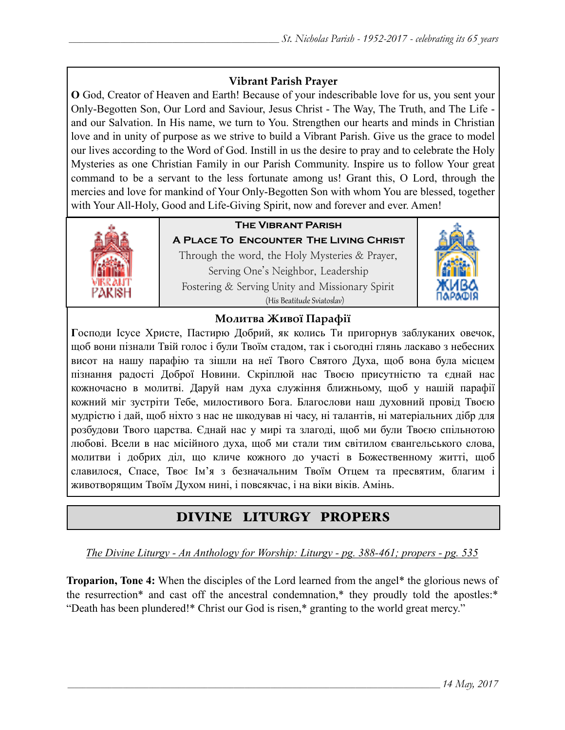## **Vibrant Parish Prayer**

**O** God, Creator of Heaven and Earth! Because of your indescribable love for us, you sent your Only-Begotten Son, Our Lord and Saviour, Jesus Christ - The Way, The Truth, and The Life and our Salvation. In His name, we turn to You. Strengthen our hearts and minds in Christian love and in unity of purpose as we strive to build a Vibrant Parish. Give us the grace to model our lives according to the Word of God. Instill in us the desire to pray and to celebrate the Holy Mysteries as one Christian Family in our Parish Community. Inspire us to follow Your great command to be a servant to the less fortunate among us! Grant this, O Lord, through the mercies and love for mankind of Your Only-Begotten Son with whom You are blessed, together with Your All-Holy, Good and Life-Giving Spirit, now and forever and ever. Amen!



# **The Vibrant Parish**

**A Place To Encounter The Living Christ** Through the word, the Holy Mysteries & Prayer, Serving One's Neighbor, Leadership Fostering & Serving Unity and Missionary Spirit (His Beatitude Sviatoslav)



## **Молитва Живої Парафії**

**Г**осподи Ісусе Христе, Пастирю Добрий, як колись Ти пригорнув заблуканих овечок, щоб вони пізнали Твій голос і були Твоїм стадом, так і сьогодні глянь ласкаво з небесних висот на нашу парафію та зішли на неї Твого Святого Духа, щоб вона була місцем пізнання радості Доброї Новини. Скріплюй нас Твоєю присутністю та єднай нас кожночасно в молитві. Даруй нам духа служіння ближньому, щоб у нашій парафії кожний міг зустріти Тебе, милостивого Бога. Благослови наш духовний провід Твоєю мудрістю і дай, щоб ніхто з нас не шкодував ні часу, ні талантів, ні матеріальних дібр для розбудови Твого царства. Єднай нас у мирі та злагоді, щоб ми були Твоєю спільнотою любові. Всели в нас місійного духа, щоб ми стали тим світилом євангельського слова, молитви і добрих діл, що кличе кожного до участі в Божественному житті, щоб славилося, Спасе, Твоє Ім'я з безначальним Твоїм Отцем та пресвятим, благим і животворящим Твоїм Духом нині, і повсякчас, і на віки віків. Амінь.

# DIVINE LITURGY PROPERS

*The Divine Liturgy - An Anthology for Worship: Liturgy - pg. 388-461; propers - pg. 535*

**Troparion, Tone 4:** When the disciples of the Lord learned from the angel\* the glorious news of the resurrection\* and cast off the ancestral condemnation,\* they proudly told the apostles:\* "Death has been plundered!\* Christ our God is risen,\* granting to the world great mercy."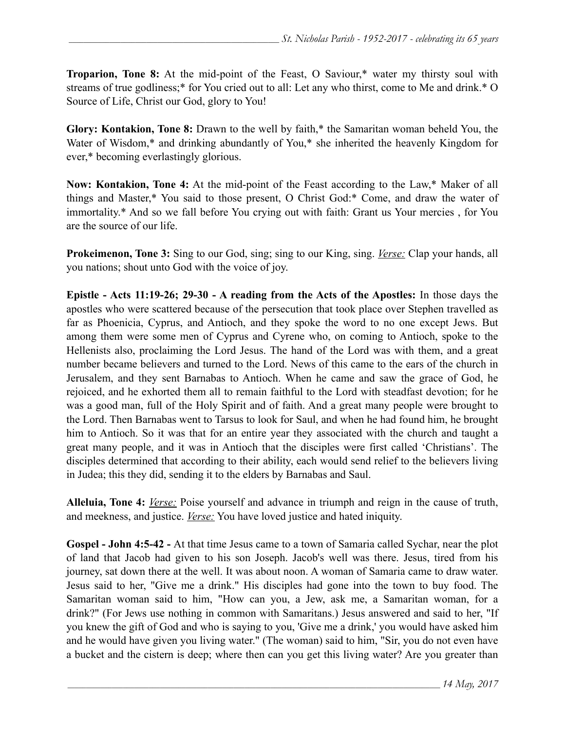**Troparion, Tone 8:** At the mid-point of the Feast, O Saviour,\* water my thirsty soul with streams of true godliness;\* for You cried out to all: Let any who thirst, come to Me and drink.\* O Source of Life, Christ our God, glory to You!

**Glory: Kontakion, Tone 8:** Drawn to the well by faith,\* the Samaritan woman beheld You, the Water of Wisdom,<sup>\*</sup> and drinking abundantly of You,<sup>\*</sup> she inherited the heavenly Kingdom for ever,\* becoming everlastingly glorious.

**Now: Kontakion, Tone 4:** At the mid-point of the Feast according to the Law,\* Maker of all things and Master,\* You said to those present, O Christ God:\* Come, and draw the water of immortality.\* And so we fall before You crying out with faith: Grant us Your mercies , for You are the source of our life.

**Prokeimenon, Tone 3:** Sing to our God, sing; sing to our King, sing. *Verse:* Clap your hands, all you nations; shout unto God with the voice of joy.

**Epistle - Acts 11:19-26; 29-30 - A reading from the Acts of the Apostles:** In those days the apostles who were scattered because of the persecution that took place over Stephen travelled as far as Phoenicia, Cyprus, and Antioch, and they spoke the word to no one except Jews. But among them were some men of Cyprus and Cyrene who, on coming to Antioch, spoke to the Hellenists also, proclaiming the Lord Jesus. The hand of the Lord was with them, and a great number became believers and turned to the Lord. News of this came to the ears of the church in Jerusalem, and they sent Barnabas to Antioch. When he came and saw the grace of God, he rejoiced, and he exhorted them all to remain faithful to the Lord with steadfast devotion; for he was a good man, full of the Holy Spirit and of faith. And a great many people were brought to the Lord. Then Barnabas went to Tarsus to look for Saul, and when he had found him, he brought him to Antioch. So it was that for an entire year they associated with the church and taught a great many people, and it was in Antioch that the disciples were first called 'Christians'. The disciples determined that according to their ability, each would send relief to the believers living in Judea; this they did, sending it to the elders by Barnabas and Saul.

**Alleluia, Tone 4:** *Verse:* Poise yourself and advance in triumph and reign in the cause of truth, and meekness, and justice. *Verse:* You have loved justice and hated iniquity.

**Gospel - John 4:5-42 -** At that time Jesus came to a town of Samaria called Sychar, near the plot of land that Jacob had given to his son Joseph. Jacob's well was there. Jesus, tired from his journey, sat down there at the well. It was about noon. A woman of Samaria came to draw water. Jesus said to her, "Give me a drink." His disciples had gone into the town to buy food. The Samaritan woman said to him, "How can you, a Jew, ask me, a Samaritan woman, for a drink?" (For Jews use nothing in common with Samaritans.) Jesus answered and said to her, "If you knew the gift of God and who is saying to you, 'Give me a drink,' you would have asked him and he would have given you living water." (The woman) said to him, "Sir, you do not even have a bucket and the cistern is deep; where then can you get this living water? Are you greater than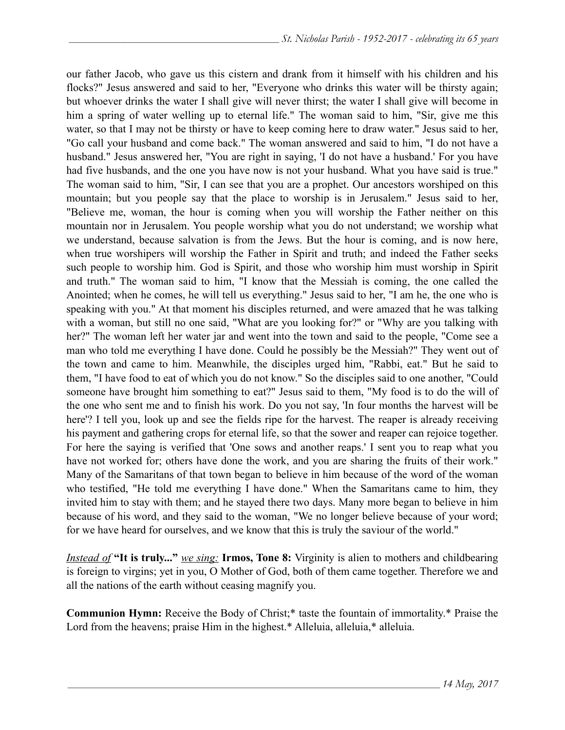our father Jacob, who gave us this cistern and drank from it himself with his children and his flocks?" Jesus answered and said to her, "Everyone who drinks this water will be thirsty again; but whoever drinks the water I shall give will never thirst; the water I shall give will become in him a spring of water welling up to eternal life." The woman said to him, "Sir, give me this water, so that I may not be thirsty or have to keep coming here to draw water." Jesus said to her, "Go call your husband and come back." The woman answered and said to him, "I do not have a husband." Jesus answered her, "You are right in saying, 'I do not have a husband.' For you have had five husbands, and the one you have now is not your husband. What you have said is true." The woman said to him, "Sir, I can see that you are a prophet. Our ancestors worshiped on this mountain; but you people say that the place to worship is in Jerusalem." Jesus said to her, "Believe me, woman, the hour is coming when you will worship the Father neither on this mountain nor in Jerusalem. You people worship what you do not understand; we worship what we understand, because salvation is from the Jews. But the hour is coming, and is now here, when true worshipers will worship the Father in Spirit and truth; and indeed the Father seeks such people to worship him. God is Spirit, and those who worship him must worship in Spirit and truth." The woman said to him, "I know that the Messiah is coming, the one called the Anointed; when he comes, he will tell us everything." Jesus said to her, "I am he, the one who is speaking with you." At that moment his disciples returned, and were amazed that he was talking with a woman, but still no one said, "What are you looking for?" or "Why are you talking with her?" The woman left her water jar and went into the town and said to the people, "Come see a man who told me everything I have done. Could he possibly be the Messiah?" They went out of the town and came to him. Meanwhile, the disciples urged him, "Rabbi, eat." But he said to them, "I have food to eat of which you do not know." So the disciples said to one another, "Could someone have brought him something to eat?" Jesus said to them, "My food is to do the will of the one who sent me and to finish his work. Do you not say, 'In four months the harvest will be here'? I tell you, look up and see the fields ripe for the harvest. The reaper is already receiving his payment and gathering crops for eternal life, so that the sower and reaper can rejoice together. For here the saying is verified that 'One sows and another reaps.' I sent you to reap what you have not worked for; others have done the work, and you are sharing the fruits of their work." Many of the Samaritans of that town began to believe in him because of the word of the woman who testified, "He told me everything I have done." When the Samaritans came to him, they invited him to stay with them; and he stayed there two days. Many more began to believe in him because of his word, and they said to the woman, "We no longer believe because of your word; for we have heard for ourselves, and we know that this is truly the saviour of the world."

*Instead of* **"It is truly..."** *we sing:* **Irmos, Tone 8:** Virginity is alien to mothers and childbearing is foreign to virgins; yet in you, O Mother of God, both of them came together. Therefore we and all the nations of the earth without ceasing magnify you.

**Communion Hymn:** Receive the Body of Christ;\* taste the fountain of immortality.\* Praise the Lord from the heavens; praise Him in the highest.\* Alleluia, alleluia,\* alleluia.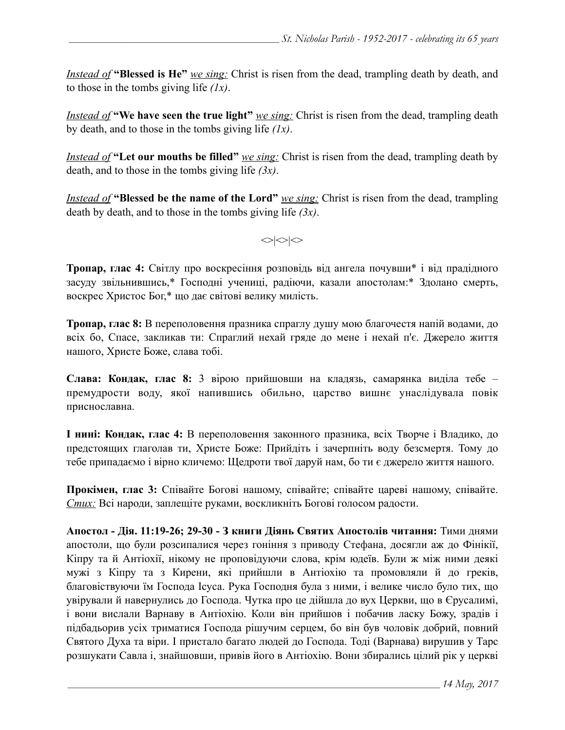*Instead of* **"Blessed is He"** *we sing:* Christ is risen from the dead, trampling death by death, and to those in the tombs giving life *(1x)*.

*Instead of* **"We have seen the true light"** *<u>we sing:</u>* Christ is risen from the dead, trampling death by death, and to those in the tombs giving life *(1x)*.

*Instead of* "Let our mouths be filled" *we sing:* Christ is risen from the dead, trampling death by death, and to those in the tombs giving life *(3x)*.

*Instead of* **"Blessed be the name of the Lord"** *we sing:* Christ is risen from the dead, trampling death by death, and to those in the tombs giving life *(3x)*.

 $\langle \rangle$ 

**Тропар, глас 4:** Світлу про воскресіння розповідь від ангела почувши\* і від прадідного засуду звільнившись,\* Господні учениці, радіючи, казали апостолам:\* Здолано смерть, воскрес Христос Бог,\* що дає світові велику милість.

**Тропар, глас 8:** В переполовення празника спраглу душу мою благочестя напій водами, до всіх бо, Спасе, закликав ти: Спраглий нехай гряде до мене і нехай п'є. Джерело життя нашого, Христе Боже, слава тобі.

**Слава: Кондак, глас 8:** 3 вірою прийшовши на кладязь, самарянка виділа тебе – премудрости воду, якої напившись обильно, царство вишнє унаслідувала повік приснославна.

**І нині: Кондак, глас 4:** В переполовення законного празника, всіх Творче і Владико, до предстоящих глаголав ти, Христе Боже: Прийдіть і зачерпніть воду безсмертя. Тому до тебе припадаємо і вірно кличемо: Щедроти твої даруй нам, бо ти є джерело життя нашого.

**Прокімен, глас 3:** Співайте Богові нашому, співайте; співайте цареві нашому, співайте. *Стих:* Всі народи, заплещіте руками, воскликніть Богові голосом радости.

**Апостол - Дія. 11:19-26; 29-30 - З книги Діянь Святих Апостолів читання:** Тими днями апостоли, що були розсипалися через гоніння з приводу Стефана, досягли аж до Фінікії, Кіпру та й Антіохії, нікому не проповідуючи слова, крім юдеїв. Були ж між ними деякі мужі з Кіпру та з Кирени, які прийшли в Антіохію та промовляли й до греків, благовіствуючи їм Господа Ісуса. Рука Господня була з ними, і велике число було тих, що увірували й навернулись до Господа. Чутка про це дійшла до вух Церкви, що в Єрусалимі, і вони вислали Варнаву в Антіохію. Коли він прийшов і побачив ласку Божу, зрадів і підбадьорив усіх триматися Господа рішучим серцем, бо він був чоловік добрий, повний Святого Духа та віри. І пристало багато людей до Господа. Тоді (Варнава) вирушив у Тарс розшукати Савла і, знайшовши, привів його в Антіохію. Вони збирались цілий рік у церкві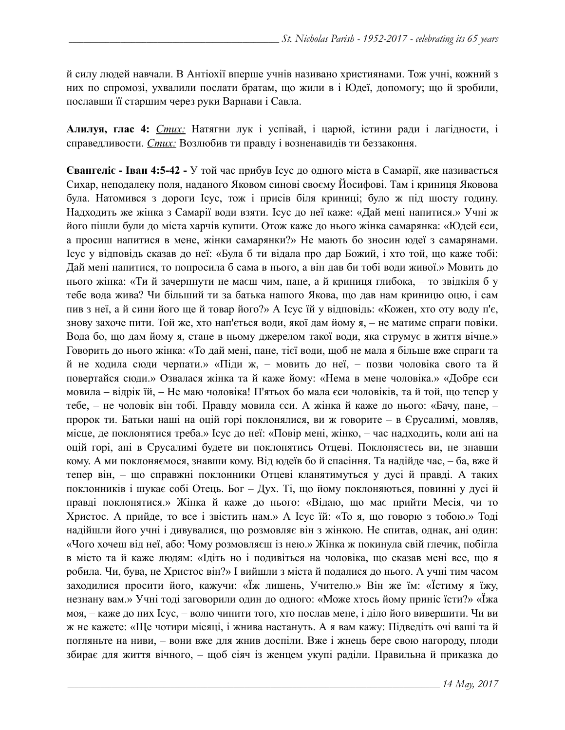й силу людей навчали. В Антіохії вперше учнів називано християнами. Тож учні, кожний з них по спромозі, ухвалили послати братам, що жили в і Юдеї, допомогу; що й зробили, пославши її старшим через руки Варнави і Савла.

**Алилуя, глас 4:** *Стих:* Натягни лук і успівай, і царюй, істини ради і лагідности, і справедливости. *Стих:* Возлюбив ти правду і возненавидів ти беззаконня.

**Євангеліє - Іван 4:5-42 -** У той час прибув Ісус до одного міста в Самарії, яке називається Сихар, неподалеку поля, наданого Яковом синові своєму Йосифові. Там і криниця Яковова була. Натомився з дороги Ісус, тож і присів біля криниці; було ж під шосту годину. Надходить же жінка з Самарії води взяти. Ісус до неї каже: «Дай мені напитися.» Учні ж його пішли були до міста харчів купити. Отож каже до нього жінка самарянка: «Юдей єси, а просиш напитися в мене, жінки самарянки?» Не мають бо зносин юдеї з самарянами. Ісус у відповідь сказав до неї: «Була б ти відала про дар Божий, і хто той, що каже тобі: Дай мені напитися, то попросила б сама в нього, а він дав би тобі води живої.» Мовить до нього жінка: «Ти й зачерпнути не маєш чим, пане, а й криниця глибока, – то звідкіля б у тебе вода жива? Чи більший ти за батька нашого Якова, що дав нам криницю оцю, і сам пив з неї, а й сини його ще й товар його?» А Ісус їй у відповідь: «Кожен, хто оту воду п'є, знову захоче пити. Той же, хто нап'ється води, якої дам йому я, – не матиме спраги повіки. Вода бо, що дам йому я, стане в ньому джерелом такої води, яка струмує в життя вічне.» Говорить до нього жінка: «То дай мені, пане, тієї води, щоб не мала я більше вже спраги та й не ходила сюди черпати.» «Піди ж, – мовить до неї, – позви чоловіка свого та й повертайся сюди.» Озвалася жінка та й каже йому: «Нема в мене чоловіка.» «Добре єси мовила – відрік їй, – Не маю чоловіка! П'ятьох бо мала єси чоловіків, та й той, що тепер у тебе, – не чоловік він тобі. Правду мовила єси. А жінка й каже до нього: «Бачу, пане, – пророк ти. Батьки наші на оцій горі поклонялися, ви ж говорите – в Єрусалимі, мовляв, місце, де поклонятися треба.» Ісус до неї: «Повір мені, жінко, – час надходить, коли ані на оцій горі, ані в Єрусалимі будете ви поклонятись Отцеві. Поклоняєтесь ви, не знавши кому. А ми поклоняємося, знавши кому. Від юдеїв бо й спасіння. Та надійде час, – ба, вже й тепер він, – що справжні поклонники Отцеві кланятимуться у дусі й правді. А таких поклонників і шукає собі Отець. Бог – Дух. Ті, що йому поклоняються, повинні у дусі й правді поклонятися.» Жінка й каже до нього: «Відаю, що має прийти Месія, чи то Христос. А прийде, то все і звістить нам.» А Ісус їй: «То я, що говорю з тобою.» Тоді надійшли його учні і дивувалися, що розмовляє він з жінкою. Не спитав, однак, ані один: «Чого хочеш від неї, або: Чому розмовляєш із нею.» Жінка ж покинула свій глечик, побігла в місто та й каже людям: «Ідіть но і подивіться на чоловіка, що сказав мені все, що я робила. Чи, бува, не Христос він?» І вийшли з міста й подалися до нього. А учні тим часом заходилися просити його, кажучи: «Їж лишень, Учителю.» Він же їм: «Їстиму я їжу, незнану вам.» Учні тоді заговорили один до одного: «Може хтось йому приніс їсти?» «Їжа моя, – каже до них Ісус, – волю чинити того, хто послав мене, і діло його вивершити. Чи ви ж не кажете: «Ще чотири місяці, і жнива настануть. А я вам кажу: Підведіть очі ваші та й погляньте на ниви, – вони вже для жнив доспіли. Вже і жнець бере свою нагороду, плоди збирає для життя вічного, – щоб сіяч із женцем укупі раділи. Правильна й приказка до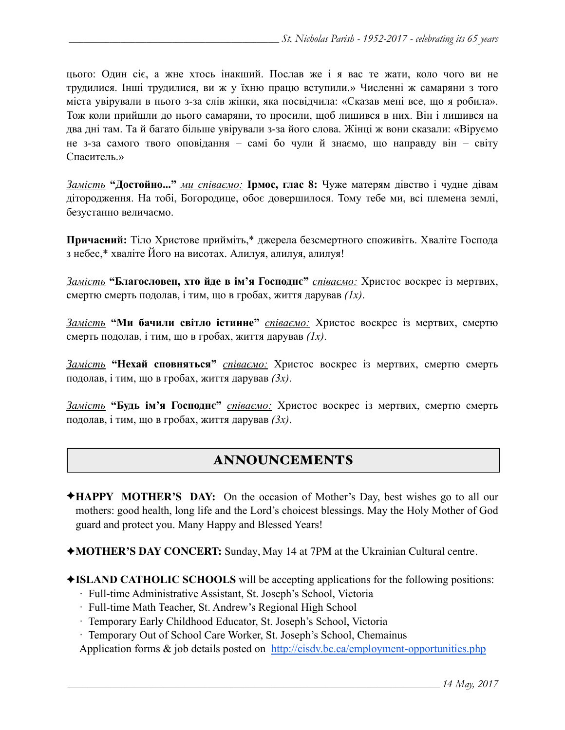цього: Один сіє, а жне хтось інакший. Послав же і я вас те жати, коло чого ви не трудилися. Інші трудилися, ви ж у їхню працю вступили.» Численні ж самаряни з того міста увірували в нього з-за слів жінки, яка посвідчила: «Сказав мені все, що я робила». Тож коли прийшли до нього самаряни, то просили, щоб лишився в них. Він і лишився на два дні там. Та й багато більше увірували з-за його слова. Жінці ж вони сказали: «Віруємо не з-за самого твого оповідання – самі бо чули й знаємо, що направду він – світу Спаситель.»

*Замість* **"Достойно..."** *ми співаємо:* **Ірмос, глас 8:** Чуже матерям дівство і чудне дівам дітородження. На тобі, Богородице, обоє довершилося. Тому тебе ми, всі племена землі, безустанно величаємо.

**Причасний:** Тіло Христове прийміть,\* джерела безсмертного споживіть. Хваліте Господа з небес,\* хваліте Його на висотах. Алилуя, aлилуя, aлилуя!

*Замість* **"Благословен, хто йде в ім'я Господнє"** *співаємо:* Христос воскрес із мертвих, смертю смерть подолав, і тим, що в гробах, життя дарував *(1x)*.

*Замість* **"Ми бачили світло істинне"** *співаємо:* Христос воскрес із мертвих, смертю смерть подолав, і тим, що в гробах, життя дарував *(1x)*.

*Замість* **"Нехай сповняться"** *співаємо:* Христос воскрес із мертвих, смертю смерть подолав, і тим, що в гробах, життя дарував *(3x)*.

*Замість* **"Будь ім'я Господнє"** *співаємо:* Христос воскрес із мертвих, смертю смерть подолав, і тим, що в гробах, життя дарував *(3x)*.

# ANNOUNCEMENTS

- ✦**HAPPY MOTHER'S DAY:** On the occasion of Mother's Day, best wishes go to all our mothers: good health, long life and the Lord's choicest blessings. May the Holy Mother of God guard and protect you. Many Happy and Blessed Years!
- ✦**MOTHER'S DAY CONCERT:** Sunday, May 14 at 7PM at the Ukrainian Cultural centre.
- ✦**ISLAND CATHOLIC SCHOOLS** will be accepting applications for the following positions:
	- · Full-time Administrative Assistant, St. Joseph's School, Victoria
	- · Full-time Math Teacher, St. Andrew's Regional High School
	- · Temporary Early Childhood Educator, St. Joseph's School, Victoria
	- · Temporary Out of School Care Worker, St. Joseph's School, Chemainus

Application forms  $\&$  job details posted on <http://cisdv.bc.ca/employment-opportunities.php>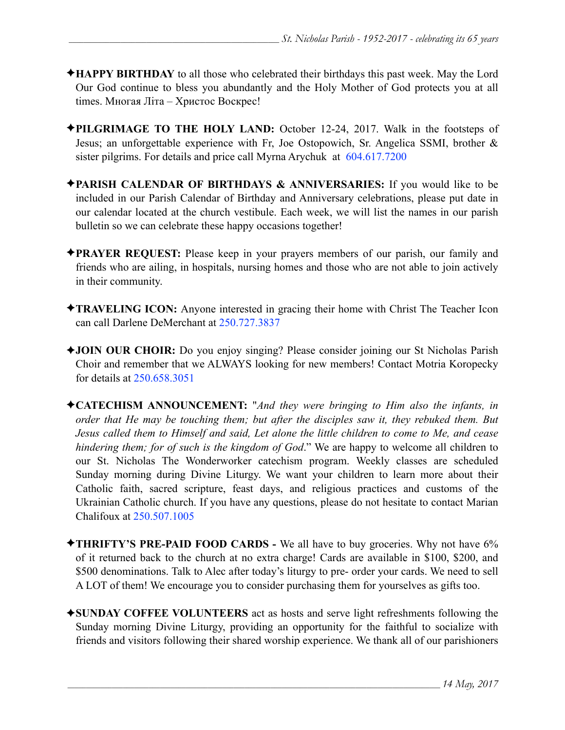- ✦**HAPPY BIRTHDAY** to all those who celebrated their birthdays this past week. May the Lord Our God continue to bless you abundantly and the Holy Mother of God protects you at all times. Многая Літа – Христос Воскрес!
- ✦**PILGRIMAGE TO THE HOLY LAND:** October 12-24, 2017. Walk in the footsteps of Jesus; an unforgettable experience with Fr, Joe Ostopowich, Sr. Angelica SSMI, brother & sister pilgrims. For details and price call Myrna Arychuk at 604.617.7200
- ✦**PARISH CALENDAR OF BIRTHDAYS & ANNIVERSARIES:** If you would like to be included in our Parish Calendar of Birthday and Anniversary celebrations, please put date in our calendar located at the church vestibule. Each week, we will list the names in our parish bulletin so we can celebrate these happy occasions together!
- ✦**PRAYER REQUEST:** Please keep in your prayers members of our parish, our family and friends who are ailing, in hospitals, nursing homes and those who are not able to join actively in their community.
- ✦**TRAVELING ICON:** Anyone interested in gracing their home with Christ The Teacher Icon can call Darlene DeMerchant at 250.727.3837
- ✦**JOIN OUR CHOIR:** Do you enjoy singing? Please consider joining our St Nicholas Parish Choir and remember that we ALWAYS looking for new members! Contact Motria Koropecky for details at 250.658.3051
- ✦**CATECHISM ANNOUNCEMENT:** "*And they were bringing to Him also the infants, in order that He may be touching them; but after the disciples saw it, they rebuked them. But Jesus called them to Himself and said, Let alone the little children to come to Me, and cease hindering them; for of such is the kingdom of God*." We are happy to welcome all children to our St. Nicholas The Wonderworker catechism program. Weekly classes are scheduled Sunday morning during Divine Liturgy. We want your children to learn more about their Catholic faith, sacred scripture, feast days, and religious practices and customs of the Ukrainian Catholic church. If you have any questions, please do not hesitate to contact Marian Chalifoux at 250.507.1005
- ✦**THRIFTY'S PRE-PAID FOOD CARDS** We all have to buy groceries. Why not have 6% of it returned back to the church at no extra charge! Cards are available in \$100, \$200, and \$500 denominations. Talk to Alec after today's liturgy to pre- order your cards. We need to sell A LOT of them! We encourage you to consider purchasing them for yourselves as gifts too.
- ✦**SUNDAY COFFEE VOLUNTEERS** act as hosts and serve light refreshments following the Sunday morning Divine Liturgy, providing an opportunity for the faithful to socialize with friends and visitors following their shared worship experience. We thank all of our parishioners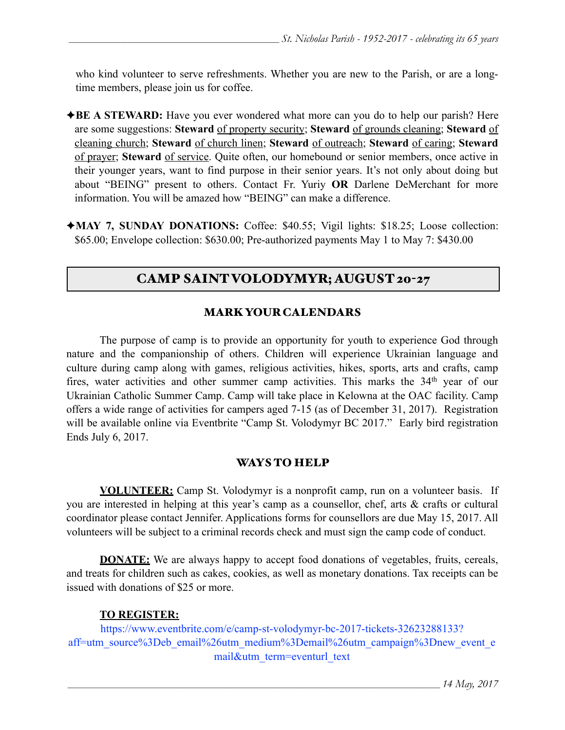who kind volunteer to serve refreshments. Whether you are new to the Parish, or are a longtime members, please join us for coffee.

- ◆**BE A STEWARD:** Have you ever wondered what more can you do to help our parish? Here are some suggestions: **Steward** of property security; **Steward** of grounds cleaning; **Steward** of cleaning church; **Steward** of church linen; **Steward** of outreach; **Steward** of caring; **Steward** of prayer; **Steward** of service. Quite often, our homebound or senior members, once active in their younger years, want to find purpose in their senior years. It's not only about doing but about "BEING" present to others. Contact Fr. Yuriy **OR** Darlene DeMerchant for more information. You will be amazed how "BEING" can make a difference.
- ✦**MAY 7, SUNDAY DONATIONS:** Coffee: \$40.55; Vigil lights: \$18.25; Loose collection: \$65.00; Envelope collection: \$630.00; Pre-authorized payments May 1 to May 7: \$430.00

# CAMP SAINT VOLODYMYR; AUGUST 20-27

## MARK YOUR CALENDARS

 The purpose of camp is to provide an opportunity for youth to experience God through nature and the companionship of others. Children will experience Ukrainian language and culture during camp along with games, religious activities, hikes, sports, arts and crafts, camp fires, water activities and other summer camp activities. This marks the 34<sup>th</sup> year of our Ukrainian Catholic Summer Camp. Camp will take place in Kelowna at the OAC facility. Camp offers a wide range of activities for campers aged 7-15 (as of December 31, 2017). Registration will be available online via Eventbrite "Camp St. Volodymyr BC 2017." Early bird registration Ends July 6, 2017.

## WAYS TO HELP

**VOLUNTEER:** Camp St. Volodymyr is a nonprofit camp, run on a volunteer basis. If you are interested in helping at this year's camp as a counsellor, chef, arts & crafts or cultural coordinator please contact Jennifer. Applications forms for counsellors are due May 15, 2017. All volunteers will be subject to a criminal records check and must sign the camp code of conduct.

**DONATE:** We are always happy to accept food donations of vegetables, fruits, cereals, and treats for children such as cakes, cookies, as well as monetary donations. Tax receipts can be issued with donations of \$25 or more.

## **TO REGISTER:**

[https://www.eventbrite.com/e/camp-st-volodymyr-bc-2017-tickets-32623288133?](https://www.eventbrite.com/e/camp-st-volodymyr-bc-2017-tickets-32623288133?aff=utm_source%3Deb_email%26utm_medium%3Demail%26utm_campaign%3Dnew_event_email&utm_term=eventurl_text) [aff=utm\\_source%3Deb\\_email%26utm\\_medium%3Demail%26utm\\_campaign%3Dnew\\_event\\_e](https://www.eventbrite.com/e/camp-st-volodymyr-bc-2017-tickets-32623288133?aff=utm_source%3Deb_email%26utm_medium%3Demail%26utm_campaign%3Dnew_event_email&utm_term=eventurl_text) [mail&utm\\_term=eventurl\\_text](https://www.eventbrite.com/e/camp-st-volodymyr-bc-2017-tickets-32623288133?aff=utm_source%3Deb_email%26utm_medium%3Demail%26utm_campaign%3Dnew_event_email&utm_term=eventurl_text)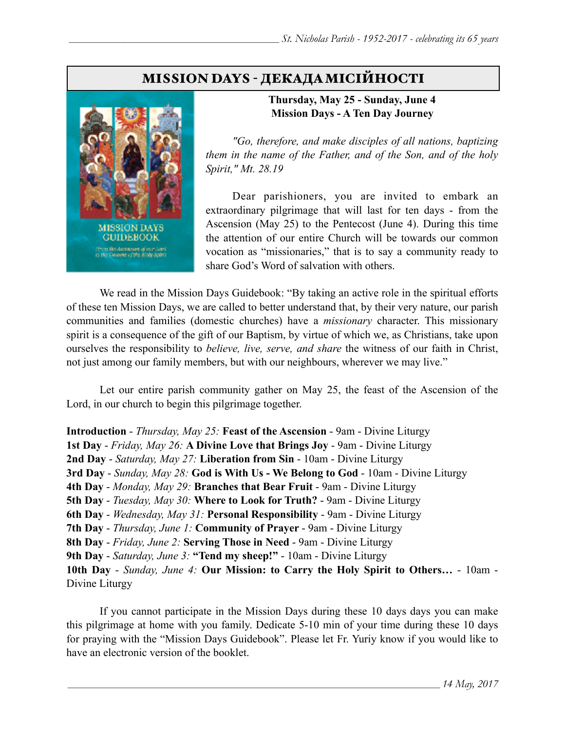# MISSION DAYS - ДЕКАДАМІСІЙНОСТІ



#### **Thursday, May 25 - Sunday, June 4 Mission Days - A Ten Day Journey**

 *"Go, therefore, and make disciples of all nations, baptizing them in the name of the Father, and of the Son, and of the holy Spirit," Mt. 28.19* 

 Dear parishioners, you are invited to embark an extraordinary pilgrimage that will last for ten days - from the Ascension (May 25) to the Pentecost (June 4). During this time the attention of our entire Church will be towards our common vocation as "missionaries," that is to say a community ready to share God's Word of salvation with others.

 We read in the Mission Days Guidebook: "By taking an active role in the spiritual efforts of these ten Mission Days, we are called to better understand that, by their very nature, our parish communities and families (domestic churches) have a *missionary* character. This missionary spirit is a consequence of the gift of our Baptism, by virtue of which we, as Christians, take upon ourselves the responsibility to *believe, live, serve, and share* the witness of our faith in Christ, not just among our family members, but with our neighbours, wherever we may live."

 Let our entire parish community gather on May 25, the feast of the Ascension of the Lord, in our church to begin this pilgrimage together.

**Introduction** - *Thursday, May 25:* **Feast of the Ascension** - 9am - Divine Liturgy

**1st Day** - *Friday, May 26:* **A Divine Love that Brings Joy** - 9am - Divine Liturgy

**2nd Day** - *Saturday, May 27:* **Liberation from Sin** - 10am - Divine Liturgy

**3rd Day** - *Sunday, May 28:* **God is With Us - We Belong to God** - 10am - Divine Liturgy

**4th Day** - *Monday, May 29:* **Branches that Bear Fruit** - 9am - Divine Liturgy

**5th Day** - *Tuesday, May 30:* **Where to Look for Truth?** - 9am - Divine Liturgy

**6th Day** - *Wednesday, May 31:* **Personal Responsibility** - 9am - Divine Liturgy

**7th Day** - *Thursday, June 1:* **Community of Prayer** - 9am - Divine Liturgy

**8th Day** - *Friday, June 2:* **Serving Those in Need** - 9am - Divine Liturgy

**9th Day** - *Saturday, June 3:* **"Tend my sheep!"** - 10am - Divine Liturgy

**10th Day** - *Sunday, June 4:* **Our Mission: to Carry the Holy Spirit to Others…** - 10am - Divine Liturgy

 If you cannot participate in the Mission Days during these 10 days days you can make this pilgrimage at home with you family. Dedicate 5-10 min of your time during these 10 days for praying with the "Mission Days Guidebook". Please let Fr. Yuriy know if you would like to have an electronic version of the booklet.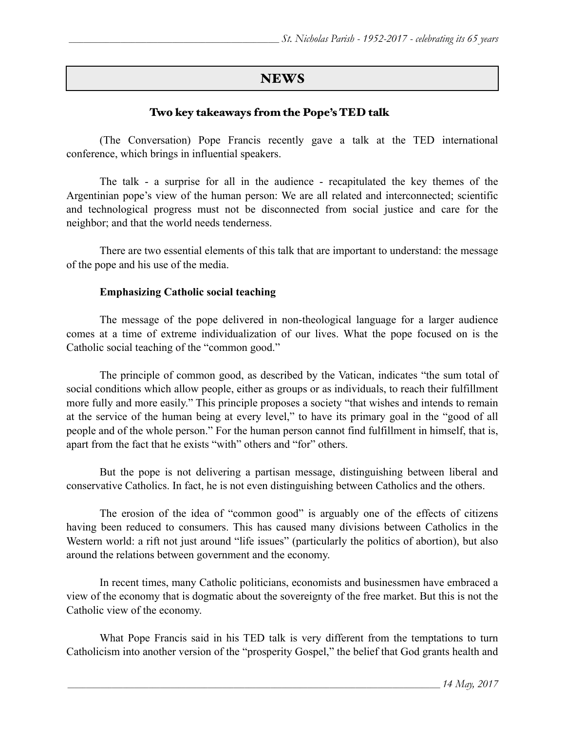## NEWS

## Tw0 key takeaways from the Pope's TED talk

 (The Conversation) Pope Francis recently gave a talk at the TED international conference, which brings in influential speakers.

 The talk - a surprise for all in the audience - recapitulated the key themes of the Argentinian pope's view of the human person: We are all related and interconnected; scientific and technological progress must not be disconnected from social justice and care for the neighbor; and that the world needs tenderness.

 There are two essential elements of this talk that are important to understand: the message of the pope and his use of the media.

#### **Emphasizing Catholic social teaching**

 The message of the pope delivered in non-theological language for a larger audience comes at a time of extreme individualization of our lives. What the pope focused on is the Catholic social teaching of the "common good."

The principle of common good, as described by the Vatican, indicates "the sum total of social conditions which allow people, either as groups or as individuals, to reach their fulfillment more fully and more easily." This principle proposes a society "that wishes and intends to remain at the service of the human being at every level," to have its primary goal in the "good of all people and of the whole person." For the human person cannot find fulfillment in himself, that is, apart from the fact that he exists "with" others and "for" others.

But the pope is not delivering a partisan message, distinguishing between liberal and conservative Catholics. In fact, he is not even distinguishing between Catholics and the others.

 The erosion of the idea of "common good" is arguably one of the effects of citizens having been reduced to consumers. This has caused many divisions between Catholics in the Western world: a rift not just around "life issues" (particularly the politics of abortion), but also around the relations between government and the economy.

In recent times, many Catholic politicians, economists and businessmen have embraced a view of the economy that is dogmatic about the sovereignty of the free market. But this is not the Catholic view of the economy.

 What Pope Francis said in his TED talk is very different from the temptations to turn Catholicism into another version of the "prosperity Gospel," the belief that God grants health and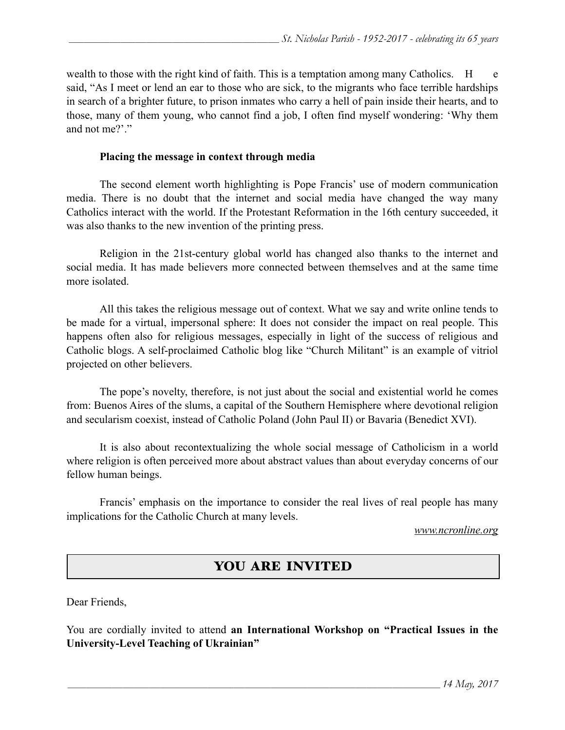wealth to those with the right kind of faith. This is a temptation among many Catholics. H e said, "As I meet or lend an ear to those who are sick, to the migrants who face terrible hardships in search of a brighter future, to prison inmates who carry a hell of pain inside their hearts, and to those, many of them young, who cannot find a job, I often find myself wondering: 'Why them and not me?'."

#### **Placing the message in context through media**

The second element worth highlighting is Pope Francis' use of modern communication media. There is no doubt that the internet and social media have changed the way many Catholics interact with the world. If the Protestant Reformation in the 16th century succeeded, it was also thanks to the new invention of the printing press.

Religion in the 21st-century global world has changed also thanks to the internet and social media. It has made believers more connected between themselves and at the same time more isolated.

All this takes the religious message out of context. What we say and write online tends to be made for a virtual, impersonal sphere: It does not consider the impact on real people. This happens often also for religious messages, especially in light of the success of religious and Catholic blogs. A self-proclaimed Catholic blog like "Church Militant" is an example of vitriol projected on other believers.

The pope's novelty, therefore, is not just about the social and existential world he comes from: Buenos Aires of the slums, a capital of the Southern Hemisphere where devotional religion and secularism coexist, instead of Catholic Poland (John Paul II) or Bavaria (Benedict XVI).

It is also about recontextualizing the whole social message of Catholicism in a world where religion is often perceived more about abstract values than about everyday concerns of our fellow human beings.

 Francis' emphasis on the importance to consider the real lives of real people has many implications for the Catholic Church at many levels.

*www.ncronline.org*

# YOU ARE INVITED

Dear Friends,

You are cordially invited to attend **an International Workshop on "Practical Issues in the University-Level Teaching of Ukrainian"**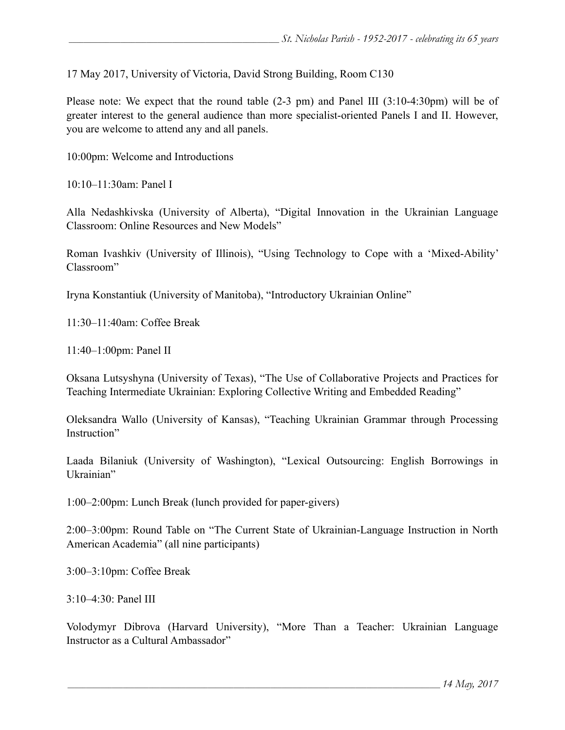17 May 2017, University of Victoria, David Strong Building, Room C130

Please note: We expect that the round table (2-3 pm) and Panel III (3:10-4:30pm) will be of greater interest to the general audience than more specialist-oriented Panels I and II. However, you are welcome to attend any and all panels.

10:00pm: Welcome and Introductions

10:10–11:30am: Panel I

Alla Nedashkivska (University of Alberta), "Digital Innovation in the Ukrainian Language Classroom: Online Resources and New Models"

Roman Ivashkiv (University of Illinois), "Using Technology to Cope with a 'Mixed-Ability' Classroom"

Iryna Konstantiuk (University of Manitoba), "Introductory Ukrainian Online"

11:30–11:40am: Coffee Break

11:40–1:00pm: Panel II

Oksana Lutsyshyna (University of Texas), "The Use of Collaborative Projects and Practices for Teaching Intermediate Ukrainian: Exploring Collective Writing and Embedded Reading"

Oleksandra Wallo (University of Kansas), "Teaching Ukrainian Grammar through Processing Instruction"

Laada Bilaniuk (University of Washington), "Lexical Outsourcing: English Borrowings in Ukrainian"

1:00–2:00pm: Lunch Break (lunch provided for paper-givers)

2:00–3:00pm: Round Table on "The Current State of Ukrainian-Language Instruction in North American Academia" (all nine participants)

3:00–3:10pm: Coffee Break

3:10–4:30: Panel III

Volodymyr Dibrova (Harvard University), "More Than a Teacher: Ukrainian Language Instructor as a Cultural Ambassador"